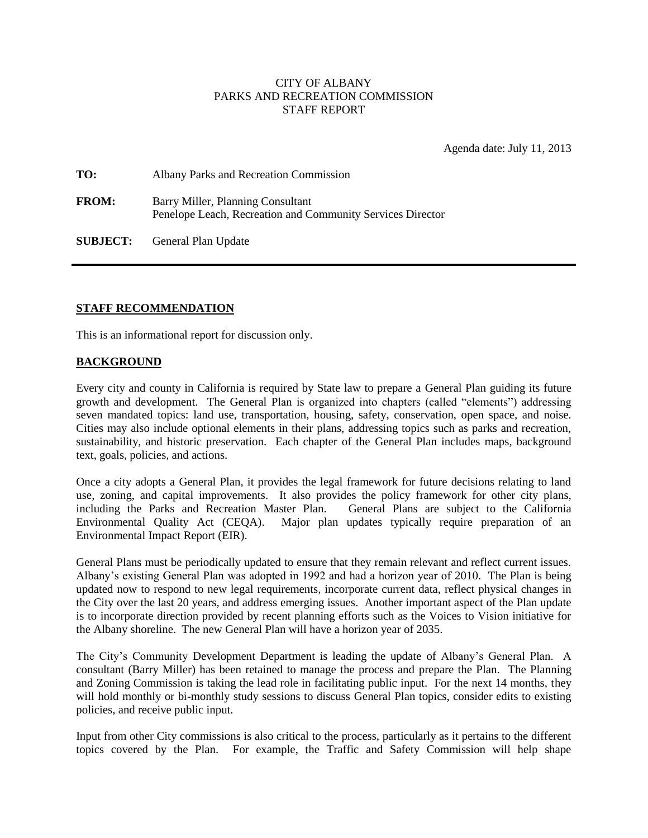## CITY OF ALBANY PARKS AND RECREATION COMMISSION STAFF REPORT

Agenda date: July 11, 2013

| TO:             | Albany Parks and Recreation Commission                                                          |
|-----------------|-------------------------------------------------------------------------------------------------|
| <b>FROM:</b>    | Barry Miller, Planning Consultant<br>Penelope Leach, Recreation and Community Services Director |
| <b>SUBJECT:</b> | General Plan Update                                                                             |

## **STAFF RECOMMENDATION**

This is an informational report for discussion only.

## **BACKGROUND**

Every city and county in California is required by State law to prepare a General Plan guiding its future growth and development. The General Plan is organized into chapters (called "elements") addressing seven mandated topics: land use, transportation, housing, safety, conservation, open space, and noise. Cities may also include optional elements in their plans, addressing topics such as parks and recreation, sustainability, and historic preservation. Each chapter of the General Plan includes maps, background text, goals, policies, and actions.

Once a city adopts a General Plan, it provides the legal framework for future decisions relating to land use, zoning, and capital improvements. It also provides the policy framework for other city plans, including the Parks and Recreation Master Plan. General Plans are subject to the California including the Parks and Recreation Master Plan. Environmental Quality Act (CEQA). Major plan updates typically require preparation of an Environmental Impact Report (EIR).

General Plans must be periodically updated to ensure that they remain relevant and reflect current issues. Albany's existing General Plan was adopted in 1992 and had a horizon year of 2010. The Plan is being updated now to respond to new legal requirements, incorporate current data, reflect physical changes in the City over the last 20 years, and address emerging issues. Another important aspect of the Plan update is to incorporate direction provided by recent planning efforts such as the Voices to Vision initiative for the Albany shoreline. The new General Plan will have a horizon year of 2035.

The City's Community Development Department is leading the update of Albany's General Plan. A consultant (Barry Miller) has been retained to manage the process and prepare the Plan. The Planning and Zoning Commission is taking the lead role in facilitating public input. For the next 14 months, they will hold monthly or bi-monthly study sessions to discuss General Plan topics, consider edits to existing policies, and receive public input.

Input from other City commissions is also critical to the process, particularly as it pertains to the different topics covered by the Plan. For example, the Traffic and Safety Commission will help shape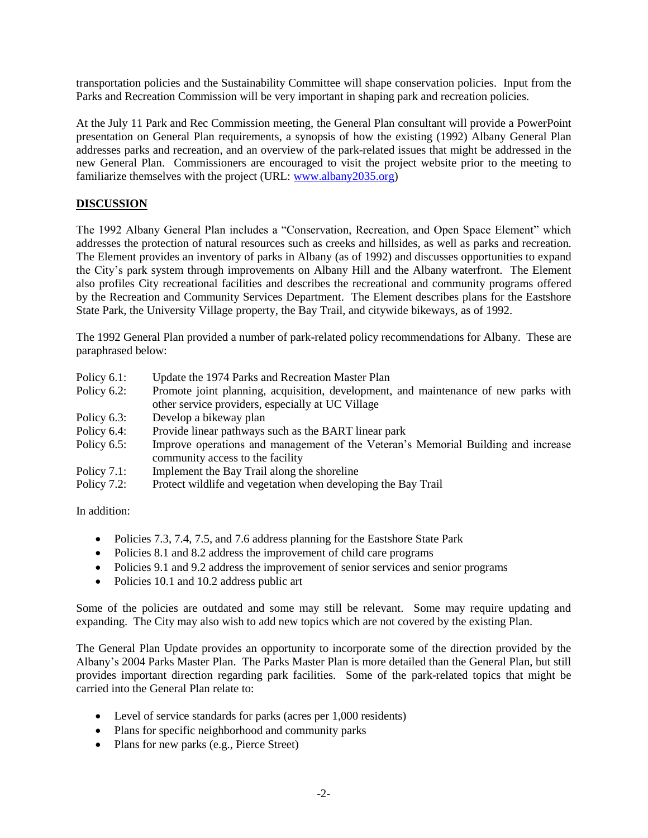transportation policies and the Sustainability Committee will shape conservation policies. Input from the Parks and Recreation Commission will be very important in shaping park and recreation policies.

At the July 11 Park and Rec Commission meeting, the General Plan consultant will provide a PowerPoint presentation on General Plan requirements, a synopsis of how the existing (1992) Albany General Plan addresses parks and recreation, and an overview of the park-related issues that might be addressed in the new General Plan. Commissioners are encouraged to visit the project website prior to the meeting to familiarize themselves with the project (URL: [www.albany2035.org\)](http://www.albany2035.org/)

## **DISCUSSION**

The 1992 Albany General Plan includes a "Conservation, Recreation, and Open Space Element" which addresses the protection of natural resources such as creeks and hillsides, as well as parks and recreation. The Element provides an inventory of parks in Albany (as of 1992) and discusses opportunities to expand the City's park system through improvements on Albany Hill and the Albany waterfront. The Element also profiles City recreational facilities and describes the recreational and community programs offered by the Recreation and Community Services Department. The Element describes plans for the Eastshore State Park, the University Village property, the Bay Trail, and citywide bikeways, as of 1992.

The 1992 General Plan provided a number of park-related policy recommendations for Albany. These are paraphrased below:

| Policy $6.1$ : | Update the 1974 Parks and Recreation Master Plan                                                                      |
|----------------|-----------------------------------------------------------------------------------------------------------------------|
| Policy $6.2$ : | Promote joint planning, acquisition, development, and maintenance of new parks with                                   |
|                | other service providers, especially at UC Village                                                                     |
| Policy $6.3$ : | Develop a bikeway plan                                                                                                |
| Policy 6.4:    | Provide linear pathways such as the BART linear park                                                                  |
| Policy $6.5$ : | Improve operations and management of the Veteran's Memorial Building and increase<br>community access to the facility |
| Policy $7.1$ : | Implement the Bay Trail along the shoreline                                                                           |
|                |                                                                                                                       |

Policy 7.2: Protect wildlife and vegetation when developing the Bay Trail

In addition:

- Policies 7.3, 7.4, 7.5, and 7.6 address planning for the Eastshore State Park
- Policies 8.1 and 8.2 address the improvement of child care programs
- Policies 9.1 and 9.2 address the improvement of senior services and senior programs
- Policies 10.1 and 10.2 address public art

Some of the policies are outdated and some may still be relevant. Some may require updating and expanding. The City may also wish to add new topics which are not covered by the existing Plan.

The General Plan Update provides an opportunity to incorporate some of the direction provided by the Albany's 2004 Parks Master Plan. The Parks Master Plan is more detailed than the General Plan, but still provides important direction regarding park facilities. Some of the park-related topics that might be carried into the General Plan relate to:

- Level of service standards for parks (acres per 1,000 residents)
- Plans for specific neighborhood and community parks
- Plans for new parks (e.g., Pierce Street)